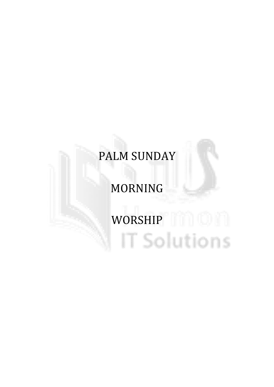# PALM SUNDAY

# MORNING

# WORSHIP IT IT IT IT Solutions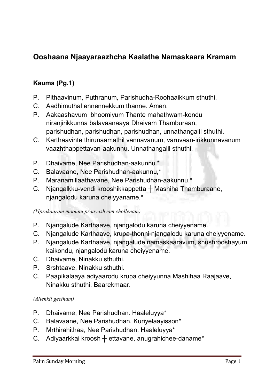# Ooshaana Njaayaraazhcha Kaalathe Namaskaara Kramam

# Kauma (Pg.1)

- **P. Pithaavinum, Puthranum, Parishudha-Roohaaikkum sthuthi.**
- **C. Aadhimuthal ennennekkum thanne. Amen.**
- **P. Aakaashavum bhoomiyum Thante mahathwam-kondu niranjirikkunna balavaanaaya Dhaivam Thamburaan, parishudhan, parishudhan, parishudhan, unnathangalil sthuthi.**
- **C. Karthaavinte thirunaamathil vannavanum, varuvaan-irikkunnavanum vaazhthappettavan-aakunnu. Unnathangalil sthuthi.**
- **P. Dhaivame, Nee Parishudhan-aakunnu.\***
- **C. Balavaane, Nee Parishudhan-aakunnu,\***
- **P. Maranamillaathavane, Nee Parishudhan-aakunnu.\***
- **C. Njangalkku-vendi krooshikkappetta ┼ Mashiha Thamburaane, njangalodu karuna cheiyyaname.\***

*(\*Iprakaaram moonnu praavashyam chollenam)*

- **P. Njangalude Karthaave, njangalodu karuna cheiyyename.**
- **C. Njangalude Karthaave, krupa-thonni njangalodu karuna cheiyyename.**
- **P. Njangalude Karthaave, njangalude namaskaaravum, shushrooshayum kaikondu, njangalodu karuna cheiyyename.**
- **C. Dhaivame, Ninakku sthuthi.**
- **P. Srshtaave, Ninakku sthuthi.**
- **C. Paapikalaaya adiyaarodu krupa cheiyyunna Mashihaa Raajaave, Ninakku sthuthi. Baarekmaar.**

#### *(Allenkil geetham)*

- **P. Dhaivame, Nee Parishudhan. Haaleluyya\***
- **C. Balavaane, Nee Parishudhan. Kuriyelaayisson\***
- **P. Mrthirahithaa, Nee Parishudhan. Haaleluyya\***
- **C. Adiyaarkkai kroosh ┼ ettavane, anugrahichee-daname\***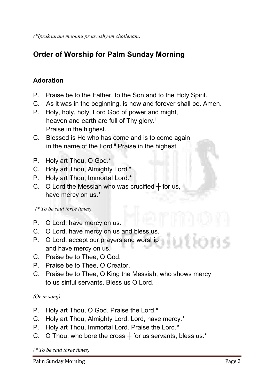*(\*Iprakaaram moonnu praavashyam chollenam)*

# Order of Worship for Palm Sunday Morning

# Adoration

- **P. Praise be to the Father, to the Son and to the Holy Spirit.**
- **C. As it was in the beginning, is now and forever shall be. Amen.**
- **P. Holy, holy, holy, Lord God of power and might, heaven and earth are full of Thy glory.i Praise in the highest.**
- **C. Blessed is He who has come and is to come again** in the name of the Lord.<sup>ii</sup> Praise in the highest.
- **P. Holy art Thou, O God.\***
- **C. Holy art Thou, Almighty Lord.\***
- **P. Holy art Thou, Immortal Lord.\***
- C. O Lord the Messiah who was crucified  $+$  for us, **have mercy on us.\***

 *(\* To be said three times)*

- **P. O Lord, have mercy on us.**
- **C. O Lord, have mercy on us and bless us.**
- **P. O Lord, accept our prayers and worship and have mercy on us.**
- **C. Praise be to Thee, O God.**
- **P. Praise be to Thee, O Creator.**
- **C. Praise be to Thee, O King the Messiah, who shows mercy to us sinful servants. Bless us O Lord.**

#### *(Or in song)*

- **P. Holy art Thou, O God. Praise the Lord.\***
- **C. Holy art Thou, Almighty Lord. Lord, have mercy.\***
- **P. Holy art Thou, Immortal Lord. Praise the Lord.\***
- **C. O Thou, who bore the cross ┼ for us servants, bless us.\***

*(\* To be said three times)*

Palm Sunday Morning Page 2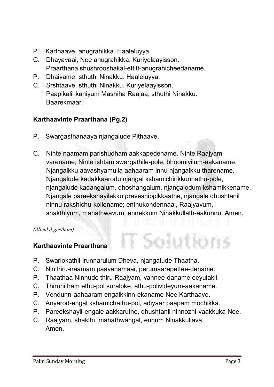- **P. Karthaave, anugrahikka. Haaleluyya.**
- **C. Dhayavaai, Nee anugrahikka. Kuriyelaayisson. Praarthana shushrooshakal-ettitt-anugrahicheedaname.**
- **P. Dhaivame, sthuthi Ninakku. Haaleluyya.**
- **C. Srshtaave, sthuthi Ninakku. Kuriyelaayisson. Paapikalil kaniyum Mashiha Raajaa, sthuthi Ninakku. Baarekmaar.**

# Karthaavinte Praarthana (Pg.2)

- **P. Swargasthanaaya njangalude Pithaave,**
- **C. Ninte naamam parishudham aakkapedename. Ninte Raajyam varename; Ninte ishtam swargathile-pole, bhoomiyilum-aakaname. Njangalkku aavashyamulla aahaaram innu njangalkku tharename. Njangalude kadakkaarodu njangal kshamichirikkunnathu-pole, njangalude kadangalum, dhoshangalum, njangalodum kshamikkename. Njangale pareekshayilekku praveshippikkaathe, njangale dhushtanil ninnu rakshichu-kollename; enthukondennaal, Raajyavum, shakthiyum, mahathwavum, ennekkum Ninakkullath-aakunnu. Amen.**

T Solutions

*(Allenkil geetham)*

# Karthaavinte Praarthana

- **P. Swarlokathil-irunnarulum Dheva, njangalude Thaatha,**
- **C. Ninthiru-naamam paavanamaai, perumaarapettee-dename.**
- **P. Thaathaa Ninnude thiru Raajyam, vannee-daname eeyulakil.**
- **C. Thiruhitham ethu-pol suraloke, athu-polivideyum-aakaname.**
- **P. Vendunn-aahaaram engalkkinn-ekaname Nee Karthaave.**
- **C. Anyarod-engal kshamichathu-pol, adiyaar paapam mochikka.**
- **P. Pareekshayil-engale aakkaruthe, dhushtanil ninnozhi-vaakkuka Nee.**
- **C. Raajyam, shakthi, mahathwangal, ennum Ninakkullava. Amen.**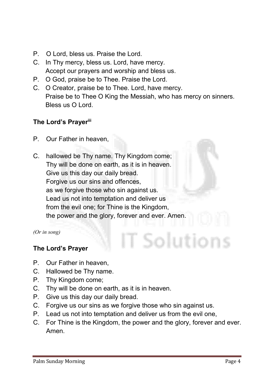- **P. O Lord, bless us. Praise the Lord.**
- **C. In Thy mercy, bless us. Lord, have mercy. Accept our prayers and worship and bless us.**
- **P. O God, praise be to Thee. Praise the Lord.**
- **C. O Creator, praise be to Thee. Lord, have mercy. Praise be to Thee O King the Messiah, who has mercy on sinners. Bless us O Lord.**

# The Lord's Prayerili

- **P. Our Father in heaven,**
- **C. hallowed be Thy name. Thy Kingdom come; Thy will be done on earth, as it is in heaven. Give us this day our daily bread. Forgive us our sins and offences, as we forgive those who sin against us. Lead us not into temptation and deliver us from the evil one; for Thine is the Kingdom, the power and the glory, forever and ever. Amen.**

*(Or in song)*

# The Lord's Prayer

- **P. Our Father in heaven,**
- **C. Hallowed be Thy name.**
- **P. Thy Kingdom come;**
- **C. Thy will be done on earth, as it is in heaven.**
- **P. Give us this day our daily bread.**
- **C. Forgive us our sins as we forgive those who sin against us.**
- **P. Lead us not into temptation and deliver us from the evil one,**
- **C. For Thine is the Kingdom, the power and the glory, forever and ever. Amen.**

T Solutions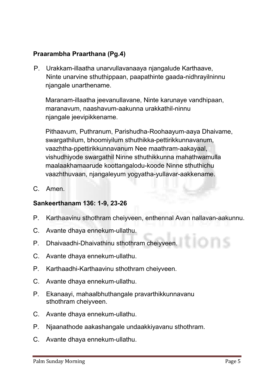# Praarambha Praarthana (Pg.4)

**P. Urakkam-illaatha unarvullavanaaya njangalude Karthaave, Ninte unarvine sthuthippaan, paapathinte gaada-nidhrayilninnu njangale unarthename.** 

**Maranam-illaatha jeevanullavane, Ninte karunaye vandhipaan, maranavum, naashavum-aakunna urakkathil-ninnu njangale jeevipikkename.** 

**Pithaavum, Puthranum, Parishudha-Roohaayum-aaya Dhaivame, swargathilum, bhoomiyilum sthuthikka-pettirikkunnavanum, vaazhtha-ppettirikkunnavanum Nee maathram-aakayaal, vishudhiyode swargathil Ninne sthuthikkunna mahathwamulla maalaakhamaarude koottangalodu-koode Ninne sthuthichu vaazhthuvaan, njangaleyum yogyatha-yullavar-aakkename.**

**C. Amen.**

#### Sankeerthanam 136: 1-9, 23-26

- **P. Karthaavinu sthothram cheiyveen, enthennal Avan nallavan-aakunnu.**
- **C. Avante dhaya ennekum-ullathu.**
- **P. Dhaivaadhi-Dhaivathinu sthothram cheiyveen.**
- **C. Avante dhaya ennekum-ullathu.**
- **P. Karthaadhi-Karthaavinu sthothram cheiyveen.**
- **C. Avante dhaya ennekum-ullathu.**
- **P. Ekanaayi, mahaalbhuthangale pravarthikkunnavanu sthothram cheiyveen.**
- **C. Avante dhaya ennekum-ullathu.**
- **P. Njaanathode aakashangale undaakkiyavanu sthothram.**
- **C. Avante dhaya ennekum-ullathu.**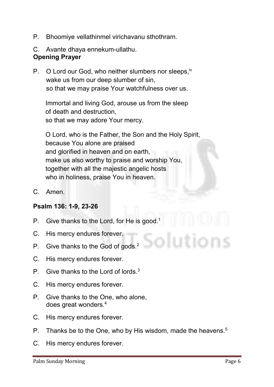- **P. Bhoomiye vellathinmel virichavanu sthothram.**
- **C. Avante dhaya ennekum-ullathu.**

### Opening Prayer

**P. O Lord our God, who neither slumbers nor sleeps,iv wake us from our deep slumber of sin, so that we may praise Your watchfulness over us.**

**Immortal and living God, arouse us from the sleep of death and destruction, so that we may adore Your mercy.** 

**O Lord, who is the Father, the Son and the Holy Spirit, because You alone are praised and glorified in heaven and on earth, make us also worthy to praise and worship You, together with all the majestic angelic hosts who in holiness, praise You in heaven.**

**C. Amen.**

#### Psalm 136: 1-9, 23-26

- **P. Give thanks to the Lord, for He is good.1**
- **C. His mercy endures forever.**
- **P. Give thanks to the God of gods.2**
- **C. His mercy endures forever.**
- **P. Give thanks to the Lord of lords.3**
- **C. His mercy endures forever.**
- **P. Give thanks to the One, who alone, does great wonders.4**
- **C. His mercy endures forever.**
- **P. Thanks be to the One, who by His wisdom, made the heavens.5**
- **C. His mercy endures forever.**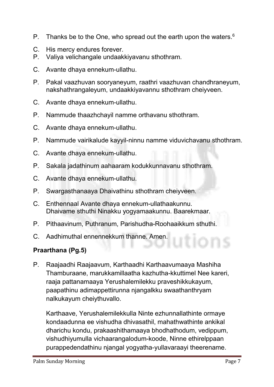- **P. Thanks be to the One, who spread out the earth upon the waters.6**
- **C. His mercy endures forever.**
- **P. Valiya velichangale undaakkiyavanu sthothram.**
- **C. Avante dhaya ennekum-ullathu.**
- **P. Pakal vaazhuvan sooryaneyum, raathri vaazhuvan chandhraneyum, nakshathrangaleyum, undaakkiyavannu sthothram cheiyveen.**
- **C. Avante dhaya ennekum-ullathu.**
- **P. Nammude thaazhchayil namme orthavanu sthothram.**
- **C. Avante dhaya ennekum-ullathu.**
- **P. Nammude vairikalude kayyil-ninnu namme viduvichavanu sthothram.**
- **C. Avante dhaya ennekum-ullathu.**
- **P. Sakala jadathinum aahaaram kodukkunnavanu sthothram.**
- **C. Avante dhaya ennekum-ullathu.**
- **P. Swargasthanaaya Dhaivathinu sthothram cheiyveen.**
- **C. Enthennaal Avante dhaya ennekum-ullathaakunnu. Dhaivame sthuthi Ninakku yogyamaakunnu. Baarekmaar.**
- **P. Pithaavinum, Puthranum, Parishudha-Roohaaikkum sthuthi.**
- **C. Aadhimuthal ennennekkum thanne. Amen.**

# Praarthana (Pg.5)

**P. Raajaadhi Raajaavum, Karthaadhi Karthaavumaaya Mashiha Thamburaane, marukkamillaatha kazhutha-kkuttimel Nee kareri, raaja pattanamaaya Yerushalemilekku praveshikkukayum, paapathinu adimappettirunna njangalkku swaathanthryam nalkukayum cheiythuvallo.** 

**Karthaave, Yerushalemilekkulla Ninte ezhunnallathinte ormaye kondaadunna ee vishudha dhivasathil, mahathwathinte ankikal dharichu kondu, prakaashithamaaya bhodhathodum, vedippum, vishudhiyumulla vichaarangalodum-koode, Ninne ethirelppaan purappedendathinu njangal yogyatha-yullavaraayi theerename.**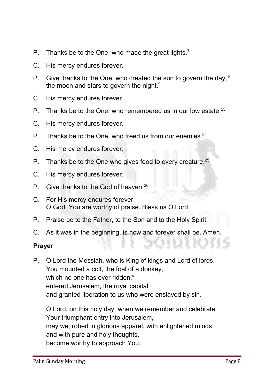- **P. Thanks be to the One, who made the great lights. 7**
- **C. His mercy endures forever.**
- **P. Give thanks to the One, who created the sun to govern the day, <sup>8</sup> the moon and stars to govern the night.9**
- **C. His mercy endures forever.**
- **P. Thanks be to the One, who remembered us in our low estate. 23**
- **C. His mercy endures forever.**
- **P. Thanks be to the One, who freed us from our enemies.24**
- **C. His mercy endures forever.**
- **P. Thanks be to the One who gives food to every creature.25**
- **C. His mercy endures forever.**
- **P. Give thanks to the God of heaven.26**
- **C. For His mercy endures forever. O God, You are worthy of praise. Bless us O Lord.**
- **P. Praise be to the Father, to the Son and to the Holy Spirit.**
- **C. As it was in the beginning, is now and forever shall be. Amen.**

#### Prayer

**P. O Lord the Messiah, who is King of kings and Lord of lords, You mounted a colt, the foal of a donkey,**  which no one has ever ridden,<sup>v</sup> **entered Jerusalem, the royal capital and granted liberation to us who were enslaved by sin.** 

**O Lord, on this holy day, when we remember and celebrate Your triumphant entry into Jerusalem, may we, robed in glorious apparel, with enlightened minds and with pure and holy thoughts, become worthy to approach You.**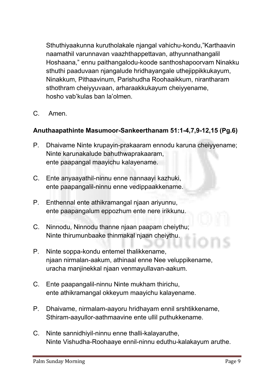**Sthuthiyaakunna kurutholakale njangal vahichu-kondu,"Karthaavin naamathil varunnavan vaazhthappettavan, athyunnathangalil Hoshaana," ennu paithangalodu-koode santhoshapoorvam Ninakku sthuthi paaduvaan njangalude hridhayangale uthejippikkukayum, Ninakkum, Pithaavinum, Parishudha Roohaaikkum, nirantharam sthothram cheiyyuvaan, arharaakkukayum cheiyyename, hosho vab'kulas ban la'olmen.**

**C. Amen.**

# Anuthaapathinte Masumoor-Sankeerthanam 51:1-4,7,9-12,15 (Pg.6)

- **P. Dhaivame Ninte krupayin-prakaaram ennodu karuna cheiyyename; Ninte karunakalude bahuthwaprakaaram, ente paapangal maayichu kalayename.**
- **C. Ente anyaayathil-ninnu enne nannaayi kazhuki, ente paapangalil-ninnu enne vedippaakkename.**
- **P. Enthennal ente athikramangal njaan ariyunnu, ente paapangalum eppozhum ente nere irikkunu.**
- **C. Ninnodu, Ninnodu thanne njaan paapam cheiythu; Ninte thirumunbaake thinmakal njaan cheiythu.**
- **P. Ninte soppa-kondu entemel thalikkename, njaan nirmalan-aakum, athinaal enne Nee veluppikename, uracha manjinekkal njaan venmayullavan-aakum.**
- **C. Ente paapangalil-ninnu Ninte mukham thirichu, ente athikramangal okkeyum maayichu kalayename.**
- **P. Dhaivame, nirmalam-aayoru hridhayam ennil srshtikkename, Sthiram-aayullor-aathmaavine ente ullil puthukkename.**
- **C. Ninte sannidhiyil-ninnu enne thalli-kalayaruthe, Ninte Vishudha-Roohaaye ennil-ninnu eduthu-kalakayum aruthe.**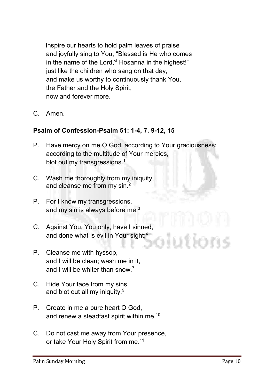**Inspire our hearts to hold palm leaves of praise and joyfully sing to You, "Blessed is He who comes**  in the name of the Lord, v<sup>i</sup> Hosanna in the highest!" **just like the children who sang on that day, and make us worthy to continuously thank You, the Father and the Holy Spirit, now and forever more.**

**C. Amen.**

# Psalm of Confession-Psalm 51: 1-4, 7, 9-12, 15

- **P. Have mercy on me O God, according to Your graciousness; according to the multitude of Your mercies, blot out my transgressions. 1**
- **C. Wash me thoroughly from my iniquity, and cleanse me from my sin.2**
- **P. For I know my transgressions, and my sin is always before me.3**
- **C. Against You, You only, have I sinned, and done what is evil in Your sight;4**
- **P. Cleanse me with hyssop, and I will be clean; wash me in it, and I will be whiter than snow.7**
- **C. Hide Your face from my sins, and blot out all my iniquity.9**
- **P. Create in me a pure heart O God, and renew a steadfast spirit within me.10**
- **C. Do not cast me away from Your presence, or take Your Holy Spirit from me.11**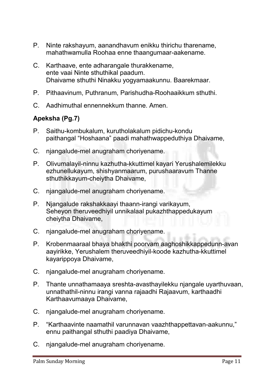- **P. Ninte rakshayum, aanandhavum enikku thirichu tharename, mahathwamulla Roohaa enne thaangumaar-aakename.**
- **C. Karthaave, ente adharangale thurakkename, ente vaai Ninte sthuthikal paadum. Dhaivame sthuthi Ninakku yogyamaakunnu. Baarekmaar.**
- **P. Pithaavinum, Puthranum, Parishudha-Roohaaikkum sthuthi.**
- **C. Aadhimuthal ennennekkum thanne. Amen.**

# Apeksha (Pg.7)

- **P. Saithu-kombukalum, kurutholakalum pidichu-kondu paithangal "Hoshaana" paadi mahathwappeduthiya Dhaivame,**
- **C. njangalude-mel anugraham choriyename.**
- **P. Olivumalayil-ninnu kazhutha-kkuttimel kayari Yerushalemilekku ezhunellukayum, shishyanmaarum, purushaaravum Thanne sthuthikkayum-cheiytha Dhaivame,**
- **C. njangalude-mel anugraham choriyename.**
- **P. Njangalude rakshakkaayi thaann-irangi varikayum, Seheyon theruveedhiyil unnikalaal pukazhthappedukayum cheiytha Dhaivame,**
- **C. njangalude-mel anugraham choriyename.**
- **P. Krobenmaaraal bhaya bhakthi poorvam aaghoshikkappedunn-avan aayirikke, Yerushalem theruveedhiyil-koode kazhutha-kkuttimel kayarippoya Dhaivame,**
- **C. njangalude-mel anugraham choriyename.**
- **P. Thante unnathamaaya sreshta-avasthayilekku njangale uyarthuvaan, unnathathil-ninnu irangi vanna rajaadhi Rajaavum, karthaadhi Karthaavumaaya Dhaivame,**
- **C. njangalude-mel anugraham choriyename.**
- **P. "Karthaavinte naamathil varunnavan vaazhthappettavan-aakunnu," ennu paithangal sthuthi paadiya Dhaivame,**
- **C. njangalude-mel anugraham choriyename.**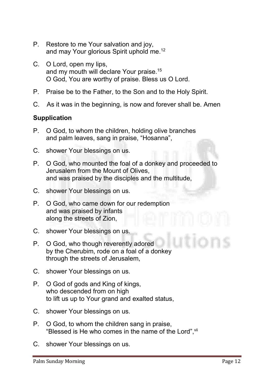- **P. Restore to me Your salvation and joy, and may Your glorious Spirit uphold me. 12**
- **C. O Lord, open my lips, and my mouth will declare Your praise.15 O God, You are worthy of praise. Bless us O Lord.**
- **P. Praise be to the Father, to the Son and to the Holy Spirit.**
- **C. As it was in the beginning, is now and forever shall be. Amen**

#### **Supplication**

- **P. O God, to whom the children, holding olive branches and palm leaves, sang in praise, "Hosanna",**
- **C. shower Your blessings on us.**
- **P. O God, who mounted the foal of a donkey and proceeded to Jerusalem from the Mount of Olives, and was praised by the disciples and the multitude,**
- **C. shower Your blessings on us.**
- **P. O God, who came down for our redemption and was praised by infants along the streets of Zion,**
- **C. shower Your blessings on us.**
- **P. O God, who though reverently adored by the Cherubim, rode on a foal of a donkey through the streets of Jerusalem,**
- **C. shower Your blessings on us.**
- **P. O God of gods and King of kings, who descended from on high to lift us up to Your grand and exalted status,**
- **C. shower Your blessings on us.**
- **P. O God, to whom the children sang in praise, "Blessed is He who comes in the name of the Lord", vii**
- **C. shower Your blessings on us.**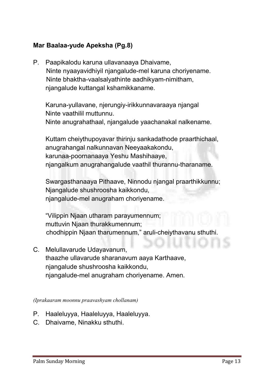# Mar Baalaa-yude Apeksha (Pg.8)

**P. Paapikalodu karuna ullavanaaya Dhaivame, Ninte nyaayavidhiyil njangalude-mel karuna choriyename. Ninte bhaktha-vaalsalyathinte aadhikyam-nimitham, njangalude kuttangal kshamikkaname.**

**Karuna-yullavane, njerungiy-irikkunnavaraaya njangal Ninte vaathilil muttunnu. Ninte anugrahathaal, njangalude yaachanakal nalkename.** 

**Kuttam cheiythupoyavar thirinju sankadathode praarthichaal, anugrahangal nalkunnavan Neeyaakakondu, karunaa-poornanaaya Yeshu Mashihaaye, njangalkum anugrahangalude vaathil thurannu-tharaname.**

**Swargasthanaaya Pithaave, Ninnodu njangal praarthikkunnu; Njangalude shushroosha kaikkondu, njangalude-mel anugraham choriyename.**

**"Vilippin Njaan utharam parayumennum; muttuvin Njaan thurakkumennum; chodhippin Njaan tharumennum," aruli-cheiythavanu sthuthi.** 

**C. Melullavarude Udayavanum, thaazhe ullavarude sharanavum aaya Karthaave, njangalude shushroosha kaikkondu, njangalude-mel anugraham choriyename. Amen.**

*(Iprakaaram moonnu praavashyam chollanam)*

- **P. Haaleluyya, Haaleluyya, Haaleluyya.**
- **C. Dhaivame, Ninakku sthuthi.**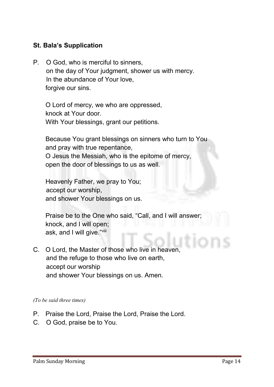# St. Bala's Supplication

**P. O God, who is merciful to sinners, on the day of Your judgment, shower us with mercy. In the abundance of Your love, forgive our sins.**

**O Lord of mercy, we who are oppressed, knock at Your door. With Your blessings, grant our petitions.**

**Because You grant blessings on sinners who turn to You and pray with true repentance, O Jesus the Messiah, who is the epitome of mercy, open the door of blessings to us as well.**

**Heavenly Father, we pray to You; accept our worship, and shower Your blessings on us.**

**Praise be to the One who said, "Call, and I will answer; knock, and I will open; ask, and I will give." viii**

**C. O Lord, the Master of those who live in heaven, and the refuge to those who live on earth, accept our worship and shower Your blessings on us. Amen.**

*(To be said three times)*

- **P. Praise the Lord, Praise the Lord, Praise the Lord.**
- **C. O God, praise be to You.**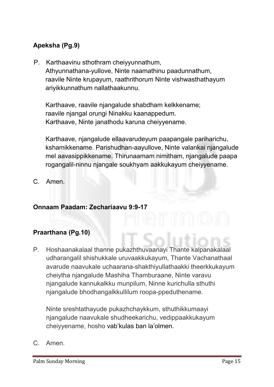# Apeksha (Pg.9)

**P. Karthaavinu sthothram cheiyyunnathum, Athyunnathana-yullove, Ninte naamathinu paadunnathum, raavile Ninte krupayum, raathrithorum Ninte vishwasthathayum ariyikkunnathum nallathaakunnu.** 

**Karthaave, raavile njangalude shabdham kelkkename; raavile njangal orungi Ninakku kaanappedum. Karthaave, Ninte janathodu karuna cheiyyename.** 

**Karthaave, njangalude ellaavarudeyum paapangale pariharichu, kshamikkename. Parishudhan-aayullove, Ninte valankai njangalude mel aavasippikkename. Thirunaamam nimitham, njangalude paapa rogangalil-ninnu njangale soukhyam aakkukayum cheiyyename.**

**C. Amen.**

#### Onnaam Paadam: Zechariaavu 9:9-17

#### Praarthana (Pg.10)

**P. Hoshaanakalaal thanne pukazhthuvaanayi Thante kalpanakalaal udharangalil shishukkale uruvaakkukayum, Thante Vachanathaal avarude naavukale uchaarana-shakthiyullathaakki theerkkukayum cheiytha njangalude Mashiha Thamburaane, Ninte varavu njangalude kannukalkku munpilum, Ninne kurichulla sthuthi njangalude bhodhangalkkullilum roopa-ppeduthename.** 

**Ninte sreshtathayude pukazhchaykkum, sthuthikkumaayi njangalude naavukale shudheekarichu, vedippaakkukayum cheiyyename, hosho vab'kulas ban la'olmen.**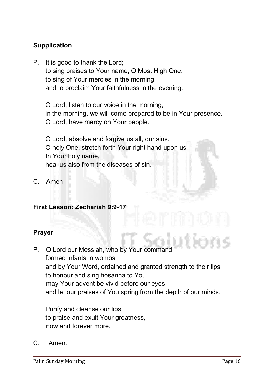# **Supplication**

**P. It is good to thank the Lord; to sing praises to Your name, O Most High One, to sing of Your mercies in the morning and to proclaim Your faithfulness in the evening.**

**O Lord, listen to our voice in the morning; in the morning, we will come prepared to be in Your presence. O Lord, have mercy on Your people.** 

**O Lord, absolve and forgive us all, our sins. O holy One, stretch forth Your right hand upon us. In Your holy name, heal us also from the diseases of sin.**

**C. Amen.**

#### First Lesson: Zechariah 9:9-17

#### Prayer

**P. O Lord our Messiah, who by Your command formed infants in wombs and by Your Word, ordained and granted strength to their lips to honour and sing hosanna to You, may Your advent be vivid before our eyes and let our praises of You spring from the depth of our minds.** 

**Purify and cleanse our lips to praise and exult Your greatness, now and forever more.**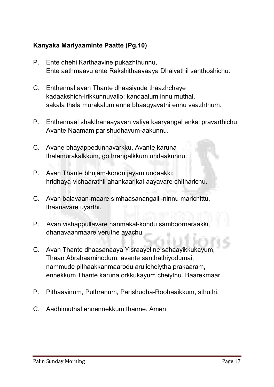# Kanyaka Mariyaaminte Paatte (Pg.10)

- **P. Ente dhehi Karthaavine pukazhthunnu, Ente aathmaavu ente Rakshithaavaaya Dhaivathil santhoshichu.**
- **C. Enthennal avan Thante dhaasiyude thaazhchaye kadaakshich-irikkunnuvallo; kandaalum innu muthal, sakala thala murakalum enne bhaagyavathi ennu vaazhthum.**
- **P. Enthennaal shakthanaayavan valiya kaaryangal enkal pravarthichu, Avante Naamam parishudhavum-aakunnu.**
- **C. Avane bhayappedunnavarkku, Avante karuna thalamurakalkkum, gothrangalkkum undaakunnu.**
- **P. Avan Thante bhujam-kondu jayam undaakki; hridhaya-vichaarathil ahankaarikal-aayavare chitharichu.**
- **C. Avan balavaan-maare simhaasanangalil-ninnu marichittu, thaanavare uyarthi.**
- **P. Avan vishappullavare nanmakal-kondu samboornaraakki, dhanavaanmaare veruthe ayachu.**
- **C. Avan Thante dhaasanaaya Yisraayeline sahaayikkukayum, Thaan Abrahaaminodum, avante santhathiyodumai, nammude pithaakkanmaarodu arulicheiytha prakaaram, ennekkum Thante karuna orkkukayum cheiythu. Baarekmaar.**
- **P. Pithaavinum, Puthranum, Parishudha-Roohaaikkum, sthuthi.**
- **C. Aadhimuthal ennennekkum thanne. Amen.**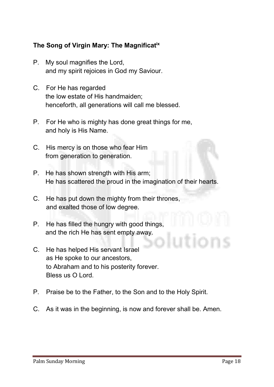# The Song of Virgin Mary: The Magnificatix

- **P. My soul magnifies the Lord, and my spirit rejoices in God my Saviour.**
- **C. For He has regarded the low estate of His handmaiden; henceforth, all generations will call me blessed.**
- **P. For He who is mighty has done great things for me, and holy is His Name.**
- **C. His mercy is on those who fear Him from generation to generation.**
- **P. He has shown strength with His arm; He has scattered the proud in the imagination of their hearts.**
- **C. He has put down the mighty from their thrones, and exalted those of low degree.**
- **P. He has filled the hungry with good things, and the rich He has sent empty away.**
- **C. He has helped His servant Israel as He spoke to our ancestors, to Abraham and to his posterity forever. Bless us O Lord.**
- **P. Praise be to the Father, to the Son and to the Holy Spirit.**
- **C. As it was in the beginning, is now and forever shall be. Amen.**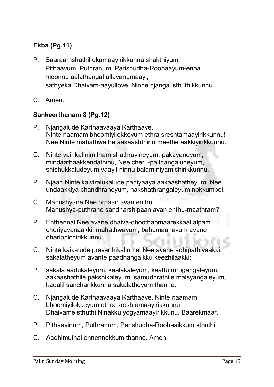# Ekba (Pg.11)

- **P. Saaraamshathil ekamaayirikkunna shakthiyum, Pithaavum, Puthranum, Parishudha-Roohaayum-enna moonnu aalathangal ullavanumaayi, sathyeka Dhaivam-aayullove, Ninne njangal sthuthikkunnu.**
- **C. Amen.**

#### Sankeerthanam 8 (Pg.12)

- **P. Njangalude Karthaavaaya Karthaave, Ninte naamam bhoomiyilokkeyum ethra sreshtamaayirikkunnu! Nee Ninte mahathwathe aakaashthinu meethe aakkiyirikkunnu.**
- **C. Ninte vairikal nimitham shathruvineyum, pakayaneyum, mindaathaakkendathinu, Nee cheru-paithangaludeyum, shishukkaludeyum vaayil ninnu balam niyamichirikkunnu.**
- **P. Njaan Ninte kaiviralukalude paniyaaya aakaashatheyum, Nee undaakkiya chandhraneyum, nakshathrangaleyum nokkumbol,**
- **C. Manushyane Nee orpaan avan enthu, Manushya-puthrane sandharshipaan avan enthu-maathram?**
- **P. Enthennal Nee avane dhaiva-dhoothanmaarekkaal alpam cheriyavanaakki, mahathwavum, bahumaanavum avane dharippichirikkunnu.**
- **C. Ninte kaikalude pravarthikalinmel Nee avane adhipathiyaakki, sakalatheyum avante paadhangalkku keezhilaakki:**
- **P. sakala aadukaleyum, kaalakaleyum, kaattu mrugangaleyum, aakaashathile pakshikaleyum, samudhrathile malsyangaleyum, kadalil sancharikkunna sakalatheyum thanne.**
- **C. Njangalude Karthaavaaya Karthaave, Ninte naamam bhoomiyilokkeyum ethra sreshtamaayirikkunnu! Dhaivame sthuthi Ninakku yogyamaayirikkunu. Baarekmaar.**
- **P. Pithaavinum, Puthranum, Parishudha-Roohaaikkum sthuthi.**
- **C. Aadhimuthal ennennekkum thanne. Amen.**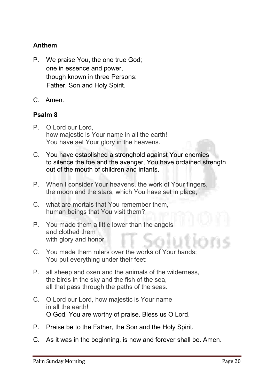# Anthem

- **P. We praise You, the one true God; one in essence and power, though known in three Persons: Father, Son and Holy Spirit.**
- **C. Amen.**

#### Psalm 8

- **P. O Lord our Lord, how majestic is Your name in all the earth! You have set Your glory in the heavens.**
- **C. You have established a stronghold against Your enemies to silence the foe and the avenger, You have ordained strength out of the mouth of children and infants,**
- **P. When I consider Your heavens, the work of Your fingers, the moon and the stars, which You have set in place,**
- **C. what are mortals that You remember them, human beings that You visit them?**
- **P. You made them a little lower than the angels and clothed them with glory and honor.**
- **C. You made them rulers over the works of Your hands; You put everything under their feet:**
- **P. all sheep and oxen and the animals of the wilderness, the birds in the sky and the fish of the sea, all that pass through the paths of the seas.**
- **C. O Lord our Lord, how majestic is Your name in all the earth! O God, You are worthy of praise. Bless us O Lord.**
- **P. Praise be to the Father, the Son and the Holy Spirit.**
- **C. As it was in the beginning, is now and forever shall be. Amen.**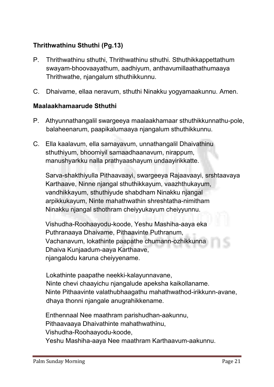# Thrithwathinu Sthuthi (Pg.13)

- **P. Thrithwathinu sthuthi, Thrithwathinu sthuthi. Sthuthikkappettathum swayam-bhoovaayathum, aadhiyum, anthavumillaathathumaaya Thrithwathe, njangalum sthuthikkunnu.**
- **C. Dhaivame, ellaa neravum, sthuthi Ninakku yogyamaakunnu. Amen.**

#### Maalaakhamaarude Sthuthi

- **P. Athyunnathangalil swargeeya maalaakhamaar sthuthikkunnathu-pole, balaheenarum, paapikalumaaya njangalum sthuthikkunnu.**
- **C. Ella kaalavum, ella samayavum, unnathangalil Dhaivathinu sthuthiyum, bhoomiyil samaadhaanavum, nirappum, manushyarkku nalla prathyaashayum undaayirikkatte.**

**Sarva-shakthiyulla Pithaavaayi, swargeeya Rajaavaayi, srshtaavaya Karthaave, Ninne njangal sthuthikkayum, vaazhthukayum, vandhikkayum, sthuthiyude shabdham Ninakku njangal arpikkukayum, Ninte mahathwathin shreshtatha-nimitham Ninakku njangal sthothram cheiyyukayum cheiyyunnu.** 

**Vishudha-Roohaayodu-koode, Yeshu Mashiha-aaya eka Puthranaaya Dhaivame, Pithaavinte Puthranum, Vachanavum, lokathinte paapathe chumann-ozhikkunna Dhaiva Kunjaadum-aaya Karthaave, njangalodu karuna cheiyyename.** 

**Lokathinte paapathe neekki-kalayunnavane, Ninte chevi chaayichu njangalude apeksha kaikollaname. Ninte Pithaavinte valathubhaagathu mahathwathod-irikkunn-avane, dhaya thonni njangale anugrahikkename.** 

**Enthennaal Nee maathram parishudhan-aakunnu, Pithaavaaya Dhaivathinte mahathwathinu, Vishudha-Roohaayodu-koode, Yeshu Mashiha-aaya Nee maathram Karthaavum-aakunnu.**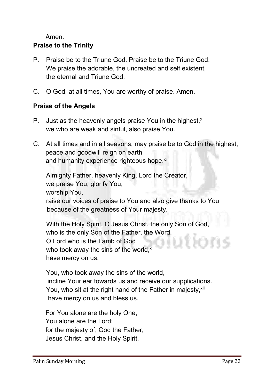**Amen.**

# Praise to the Trinity

- **P. Praise be to the Triune God. Praise be to the Triune God. We praise the adorable, the uncreated and self existent, the eternal and Triune God.**
- **C. O God, at all times, You are worthy of praise. Amen.**

# Praise of the Angels

- **P.** Just as the heavenly angels praise You in the highest,<sup>x</sup> **we who are weak and sinful, also praise You.**
- **C. At all times and in all seasons, may praise be to God in the highest, peace and goodwill reign on earth** and humanity experience righteous hope.<sup>xi</sup>

**Almighty Father, heavenly King, Lord the Creator, we praise You, glorify You, worship You, raise our voices of praise to You and also give thanks to You because of the greatness of Your majesty.**

 **With the Holy Spirit, O Jesus Christ, the only Son of God, who is the only Son of the Father, the Word, O Lord who is the Lamb of God**  who took away the sins of the world,<sup>xii</sup> **have mercy on us.**

**You, who took away the sins of the world, incline Your ear towards us and receive our supplications.** You, who sit at the right hand of the Father in majesty, xili **have mercy on us and bless us.**

**For You alone are the holy One, You alone are the Lord; for the majesty of, God the Father, Jesus Christ, and the Holy Spirit.**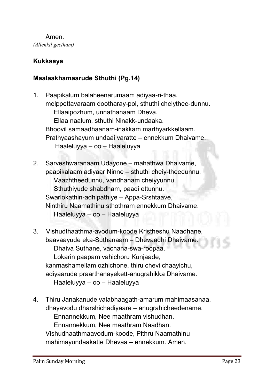**Amen.** *(Allenkil geetham)*

# Kukkaaya

# Maalaakhamaarude Sthuthi (Pg.14)

- **1. Paapikalum balaheenarumaam adiyaa-ri-thaa, melppettavaraam dootharay-pol, sthuthi cheiythee-dunnu. Ellaaipozhum, unnathanaam Dheva. Ellaa naalum, sthuthi Ninakk-undaaka. Bhoovil samaadhaanam-inakkam marthyarkkellaam. Prathyaashayum undaai varatte – ennekkum Dhaivame. Haaleluyya – oo – Haaleluyya**
- **2. Sarveshwaranaam Udayone – mahathwa Dhaivame, paapikalaam adiyaar Ninne – sthuthi cheiy-theedunnu. Vaazhtheedunnu, vandhanam cheiyyunnu. Sthuthiyude shabdham, paadi ettunnu. Swarlokathin-adhipathiye – Appa-Srshtaave, Ninthiru Naamathinu sthothram ennekkum Dhaivame. Haaleluyya – oo – Haaleluyya**
- **3. Vishudthaathma-avodum-koode Kristheshu Naadhane, baavaayude eka-Suthanaam – Dhevaadhi Dhaivame. Dhaiva Suthane, vachana-swa-roopaa. Lokarin paapam vahichoru Kunjaade, kanmashamellam ozhichone, thiru chevi chaayichu, adiyaarude praarthanayekett-anugrahikka Dhaivame. Haaleluyya – oo – Haaleluyya**
- **4. Thiru Janakanude valabhaagath-amarum mahimaasanaa, dhayavodu dharshichadiyaare – anugrahicheedename. Ennannekkum, Nee maathram vishudhan. Ennannekkum, Nee maathram Naadhan. Vishudhaathmaavodum-koode, Pithru Naamathinu mahimayundaakatte Dhevaa – ennekkum. Amen.**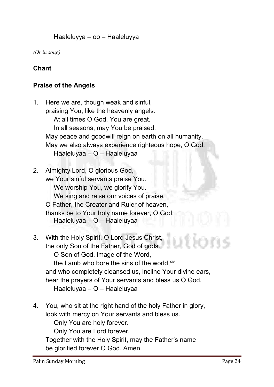#### **Haaleluyya – oo – Haaleluyya**

*(Or in song)*

#### Chant

#### Praise of the Angels

- **1. Here we are, though weak and sinful, praising You, like the heavenly angels. At all times O God, You are great. In all seasons, may You be praised. May peace and goodwill reign on earth on all humanity. May we also always experience righteous hope, O God. Haaleluyaa – O – Haaleluyaa**
- **2. Almighty Lord, O glorious God, we Your sinful servants praise You. We worship You, we glorify You. We sing and raise our voices of praise. O Father, the Creator and Ruler of heaven, thanks be to Your holy name forever, O God. Haaleluyaa – O – Haaleluyaa**
- **3. With the Holy Spirit, O Lord Jesus Christ, the only Son of the Father, God of gods. O Son of God, image of the Word, the Lamb who bore the sins of the world, xiv and who completely cleansed us, incline Your divine ears, hear the prayers of Your servants and bless us O God. Haaleluyaa – O – Haaleluyaa**
- **4. You, who sit at the right hand of the holy Father in glory, look with mercy on Your servants and bless us.**

**Only You are holy forever.**

**Only You are Lord forever.**

**Together with the Holy Spirit, may the Father's name be glorified forever O God. Amen.**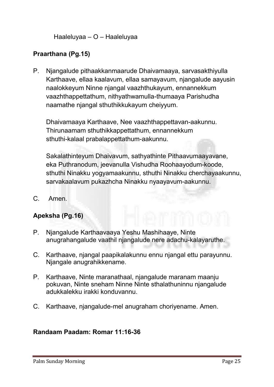**Haaleluyaa – O – Haaleluyaa**

# Praarthana (Pg.15)

**P. Njangalude pithaakkanmaarude Dhaivamaaya, sarvasakthiyulla Karthaave, ellaa kaalavum, ellaa samayavum, njangalude aayusin naalokkeyum Ninne njangal vaazhthukayum, ennannekkum vaazhthappettathum, nithyathwamulla-thumaaya Parishudha naamathe njangal sthuthikkukayum cheiyyum.**

**Dhaivamaaya Karthaave, Nee vaazhthappettavan-aakunnu. Thirunaamam sthuthikkappettathum, ennannekkum sthuthi-kalaal prabalappettathum-aakunnu.** 

**Sakalathinteyum Dhaivavum, sathyathinte Pithaavumaayavane, eka Puthranodum, jeevanulla Vishudha Roohaayodum-koode, sthuthi Ninakku yogyamaakunnu, sthuthi Ninakku cherchayaakunnu, sarvakaalavum pukazhcha Ninakku nyaayavum-aakunnu.**

**C. Amen.**

# Apeksha (Pg.16)

- **P. Njangalude Karthaavaaya Yeshu Mashihaaye, Ninte anugrahangalude vaathil njangalude nere adachu-kalayaruthe.**
- **C. Karthaave, njangal paapikalakunnu ennu njangal ettu parayunnu. Njangale anugrahikkename.**
- **P. Karthaave, Ninte maranathaal, njangalude maranam maanju pokuvan, Ninte sneham Ninne Ninte sthalathuninnu njangalude adukkalekku irakki konduvannu.**
- **C. Karthaave, njangalude-mel anugraham choriyename. Amen.**

#### Randaam Paadam: Romar 11:16-36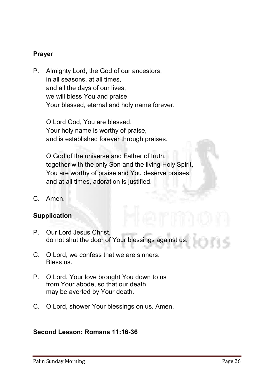# Prayer

**P. Almighty Lord, the God of our ancestors, in all seasons, at all times, and all the days of our lives, we will bless You and praise Your blessed, eternal and holy name forever.**

**O Lord God, You are blessed. Your holy name is worthy of praise, and is established forever through praises.**

**O God of the universe and Father of truth, together with the only Son and the living Holy Spirit, You are worthy of praise and You deserve praises, and at all times, adoration is justified.**

**C. Amen.**

#### Supplication

- **P. Our Lord Jesus Christ, do not shut the door of Your blessings against us.**
- **C. O Lord, we confess that we are sinners. Bless us.**
- **P. O Lord, Your love brought You down to us from Your abode, so that our death may be averted by Your death.**
- **C. O Lord, shower Your blessings on us. Amen.**

#### Second Lesson: Romans 11:16-36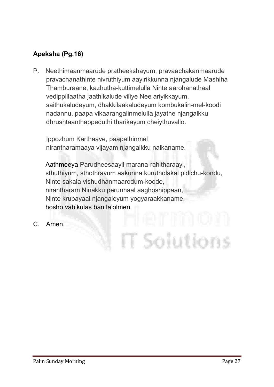# Apeksha (Pg.16)

**P. Neethimaanmaarude pratheekshayum, pravaachakanmaarude pravachanathinte nivruthiyum aayirikkunna njangalude Mashiha Thamburaane, kazhutha-kuttimelulla Ninte aarohanathaal vedippillaatha jaathikalude viliye Nee ariyikkayum, saithukaludeyum, dhakkilaakaludeyum kombukalin-mel-koodi nadannu, paapa vikaarangalinmelulla jayathe njangalkku dhrushtaanthappeduthi tharikayum cheiythuvallo.** 

**Ippozhum Karthaave, paapathinmel nirantharamaaya vijayam njangalkku nalkaname.** 

**Aathmeeya Parudheesaayil marana-rahitharaayi, sthuthiyum, sthothravum aakunna kurutholakal pidichu-kondu, Ninte sakala vishudhanmaarodum-koode, nirantharam Ninakku perunnaal aaghoshippaan, Ninte krupayaal njangaleyum yogyaraakkaname, hosho vab'kulas ban la'olmen.**

T Solutions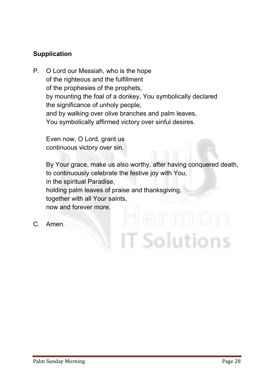# Supplication

**P. O Lord our Messiah, who is the hope of the righteous and the fulfillment of the prophesies of the prophets, by mounting the foal of a donkey, You symbolically declared the significance of unholy people, and by walking over olive branches and palm leaves, You symbolically affirmed victory over sinful desires.**

**Even now, O Lord, grant us continuous victory over sin.** 

**By Your grace, make us also worthy, after having conquered death, to continuously celebrate the festive joy with You, in the spiritual Paradise, holding palm leaves of praise and thanksgiving, together with all Your saints, now and forever more.**

T Solutions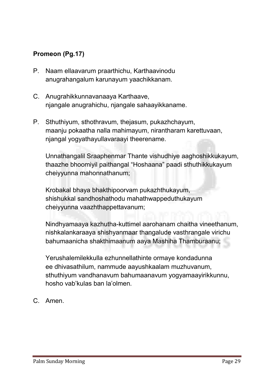# Promeon (Pg.17)

- **P. Naam ellaavarum praarthichu, Karthaavinodu anugrahangalum karunayum yaachikkanam.**
- **C. Anugrahikkunnavanaaya Karthaave, njangale anugrahichu, njangale sahaayikkaname.**
- **P. Sthuthiyum, sthothravum, thejasum, pukazhchayum, maanju pokaatha nalla mahimayum, nirantharam karettuvaan, njangal yogyathayullavaraayi theerename.**

**Unnathangalil Sraaphenmar Thante vishudhiye aaghoshikkukayum, thaazhe bhoomiyil paithangal "Hoshaana" paadi sthuthikkukayum cheiyyunna mahonnathanum;**

**Krobakal bhaya bhakthipoorvam pukazhthukayum, shishukkal sandhoshathodu mahathwappeduthukayum cheiyyunna vaazhthappettavanum;**

**Nindhyamaaya kazhutha-kuttimel aarohanam chaitha vineethanum, nishkalankaraaya shishyanmaar thangalude vasthrangale virichu bahumaanicha shakthimaanum aaya Mashiha Thamburaanu;**

**Yerushalemilekkulla ezhunnellathinte ormaye kondadunna ee dhivasathilum, nammude aayushkaalam muzhuvanum, sthuthiyum vandhanavum bahumaanavum yogyamaayirikkunnu, hosho vab'kulas ban la'olmen.**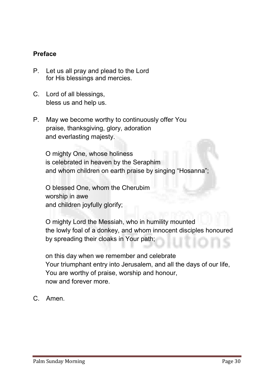# Preface

- **P. Let us all pray and plead to the Lord for His blessings and mercies.**
- **C. Lord of all blessings, bless us and help us.**
- **P. May we become worthy to continuously offer You praise, thanksgiving, glory, adoration and everlasting majesty.**

**O mighty One, whose holiness is celebrated in heaven by the Seraphim and whom children on earth praise by singing "Hosanna";**

**O blessed One, whom the Cherubim worship in awe and children joyfully glorify;**

**O mighty Lord the Messiah, who in humility mounted the lowly foal of a donkey, and whom innocent disciples honoured by spreading their cloaks in Your path;**

**on this day when we remember and celebrate Your triumphant entry into Jerusalem, and all the days of our life, You are worthy of praise, worship and honour, now and forever more.**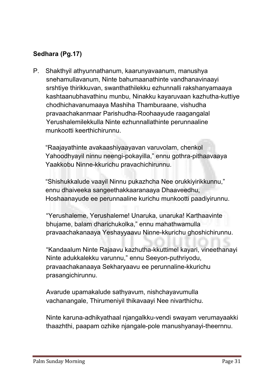# Sedhara (Pg.17)

**P. Shakthyil athyunnathanum, kaarunyavaanum, manushya snehamullavanum, Ninte bahumaanathinte vandhanavinaayi srshtiye thirikkuvan, swanthathilekku ezhunnalli rakshanyamaaya kashtaanubhavathinu munbu, Ninakku kayaruvaan kazhutha-kuttiye chodhichavanumaaya Mashiha Thamburaane, vishudha pravaachakanmaar Parishudha-Roohaayude raagangalal Yerushalemilekkulla Ninte ezhunnallathinte perunnaaline munkootti keerthichirunnu.** 

**"Raajayathinte avakaashiyaayavan varuvolam, chenkol Yahoodhyayil ninnu neengi-pokayilla," ennu gothra-pithaavaaya Yaakkobu Ninne-kkurichu pravachichirunnu.** 

**"Shishukkalude vaayil Ninnu pukazhcha Nee orukkiyirikkunnu," ennu dhaiveeka sangeethakkaaranaaya Dhaaveedhu, Hoshaanayude ee perunnaaline kurichu munkootti paadiyirunnu.** 

**"Yerushaleme, Yerushaleme! Unaruka, unaruka! Karthaavinte bhujame, balam dharichukolka," ennu mahathwamulla pravaachakanaaya Yeshayyaavu Ninne-kkurichu ghoshichirunnu.**

**"Kandaalum Ninte Rajaavu kazhutha-kkuttimel kayari, vineethanayi Ninte adukkalekku varunnu," ennu Seeyon-puthriyodu, pravaachakanaaya Sekharyaavu ee perunnaline-kkurichu prasangichirunnu.** 

**Avarude upamakalude sathyavum, nishchayavumulla vachanangale, Thirumeniyil thikavaayi Nee nivarthichu.** 

**Ninte karuna-adhikyathaal njangalkku-vendi swayam verumayaakki thaazhthi, paapam ozhike njangale-pole manushyanayi-theernnu.**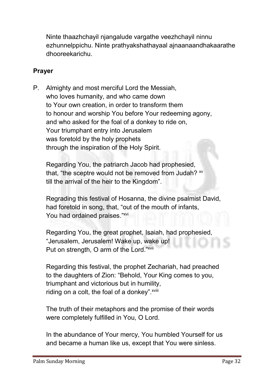**Ninte thaazhchayil njangalude vargathe veezhchayil ninnu ezhunnelppichu. Ninte prathyakshathayaal ajnaanaandhakaarathe dhooreekarichu.** 

# Prayer

**P. Almighty and most merciful Lord the Messiah, who loves humanity, and who came down to Your own creation, in order to transform them to honour and worship You before Your redeeming agony, and who asked for the foal of a donkey to ride on, Your triumphant entry into Jerusalem was foretold by the holy prophets through the inspiration of the Holy Spirit.**

**Regarding You, the patriarch Jacob had prophesied, that, "the sceptre would not be removed from Judah? xv till the arrival of the heir to the Kingdom".**

**Regrading this festival of Hosanna, the divine psalmist David, had foretold in song, that, "out of the mouth of infants, You had ordained praises." xvi**

**Regarding You, the great prophet, Isaiah, had prophesied, "Jerusalem, Jerusalem! Wake up, wake up! Put on strength, O arm of the Lord." xvii**

**Regarding this festival, the prophet Zechariah, had preached to the daughters of Zion: "Behold, Your King comes to you, triumphant and victorious but in humility,**  riding on a colt, the foal of a donkey". *xviii* 

**The truth of their metaphors and the promise of their words were completely fulfilled in You, O Lord.**

**In the abundance of Your mercy, You humbled Yourself for us and became a human like us, except that You were sinless.**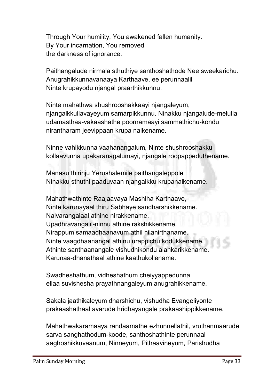**Through Your humility, You awakened fallen humanity. By Your incarnation, You removed the darkness of ignorance.**

**Paithangalude nirmala sthuthiye santhoshathode Nee sweekarichu. Anugrahikkunnavanaaya Karthaave, ee perunnaalil Ninte krupayodu njangal praarthikkunnu.** 

**Ninte mahathwa shushrooshakkaayi njangaleyum, njangalkkullavayeyum samarpikkunnu. Ninakku njangalude-melulla udamasthaa-vakaashathe poornamaayi sammathichu-kondu nirantharam jeevippaan krupa nalkename.** 

**Ninne vahikkunna vaahanangalum, Ninte shushrooshakku kollaavunna upakaranagalumayi, njangale roopappeduthename.** 

**Manasu thirinju Yerushalemile paithangaleppole Ninakku sthuthi paaduvaan njangalkku krupanalkename.** 

**Mahathwathinte Raajaavaya Mashiha Karthaave, Ninte karunayaal thiru Sabhaye sandharshikkename. Nalvarangalaal athine nirakkename. Upadhravangalil-ninnu athine rakshikkename. Nirappum samaadhaanavum athil nilanirthaname. Ninte vaagdhaanangal athinu urappichu kodukkename. Athinte santhaanangale vishudhikondu alankarikkename. Karunaa-dhanathaal athine kaathukollename.** 

**Swadheshathum, vidheshathum cheiyyappedunna ellaa suvishesha prayathnangaleyum anugrahikkename.** 

**Sakala jaathikaleyum dharshichu, vishudha Evangeliyonte prakaashathaal avarude hridhayangale prakaashippikkename.** 

**Mahathwakaramaaya randaamathe ezhunnellathil, vruthanmaarude sarva sanghathodum-koode, santhoshathinte perunnaal aaghoshikkuvaanum, Ninneyum, Pithaavineyum, Parishudha**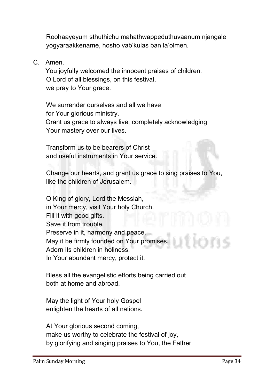**Roohaayeyum sthuthichu mahathwappeduthuvaanum njangale yogyaraakkename, hosho vab'kulas ban la'olmen.**

**C. Amen.**

**You joyfully welcomed the innocent praises of children. O Lord of all blessings, on this festival, we pray to Your grace.**

**We surrender ourselves and all we have for Your glorious ministry. Grant us grace to always live, completely acknowledging Your mastery over our lives.**

**Transform us to be bearers of Christ and useful instruments in Your service.**

**Change our hearts, and grant us grace to sing praises to You, like the children of Jerusalem.** 

**O King of glory, Lord the Messiah, in Your mercy, visit Your holy Church. Fill it with good gifts. Save it from trouble. Preserve in it, harmony and peace. May it be firmly founded on Your promises. Adorn its children in holiness. In Your abundant mercy, protect it.**

**Bless all the evangelistic efforts being carried out both at home and abroad.**

**May the light of Your holy Gospel enlighten the hearts of all nations.** 

**At Your glorious second coming, make us worthy to celebrate the festival of joy, by glorifying and singing praises to You, the Father**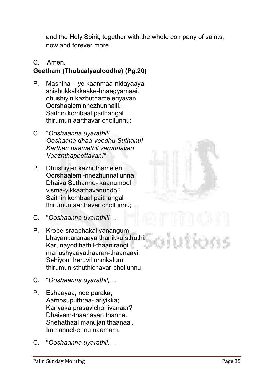**and the Holy Spirit, together with the whole company of saints, now and forever more.**

# **C. Amen.**

# Geetham (Thubaalyaaloodhe) (Pg.20)

- **P. Mashiha – ye kaanmaa-nidayaaya shishukkalkkaake-bhaagyamaai. dhushiyin kazhuthameleriyavan Oorshaaleminnezhunnalli. Saithin kombaal paithangal thirumun aarthavar chollunnu;**
- **C. "***Ooshaanna uyarathil! Ooshaana dhaa-veedhu Suthanu! Karthan naamathil varunnavan Vaazhthappettavan!"*
- **P. Dhushiyi-n kazhuthameleri Oorshaalemi-nnezhunnallunna Dhaiva Suthanne- kaanumbol visma-yikkaathavanundo? Saithin kombaal paithangal thirumun aarthavar chollunnu;**
- **C. "***Ooshaanna uyarathil!…*
- **P. Krobe-sraaphakal vanangum bhayankaranaaya thanikku sthuthi. Karunayodihathil-thaanirangi manushyaavathaaran-thaanaayi. Sehiyon theruvil unnikalum thirumun sthuthichavar-chollunnu;**
- **C. "***Ooshaanna uyarathil,…*
- **P. Eshaayaa, nee paraka; Aamosuputhraa- ariyikka; Kanyaka prasavichonivanaar? Dhaivam-thaanavan thanne. Snehathaal manujan thaanaai. Immanuel-ennu naamam.**
- **C. "***Ooshaanna uyarathil,…*

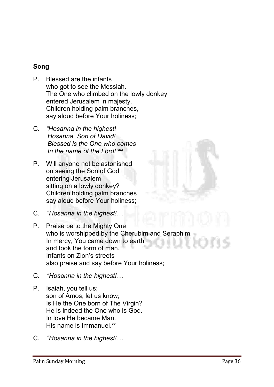# Song

- **P. Blessed are the infants who got to see the Messiah. The One who climbed on the lowly donkey entered Jerusalem in majesty. Children holding palm branches, say aloud before Your holiness;**
- **C.** *"Hosanna in the highest! Hosanna, Son of David! Blessed is the One who comes In the name of the Lord!" xix*
- **P. Will anyone not be astonished on seeing the Son of God entering Jerusalem sitting on a lowly donkey? Children holding palm branches say aloud before Your holiness;**
- **C***. "Hosanna in the highest!…*
- **P. Praise be to the Mighty One who is worshipped by the Cherubim and Seraphim. In mercy, You came down to earth and took the form of man. Infants on Zion's streets also praise and say before Your holiness;**
- **C.** *"Hosanna in the highest!…*
- **P. Isaiah, you tell us; son of Amos, let us know; Is He the One born of The Virgin? He is indeed the One who is God. In love He became Man.** His name is Immanuel.<sup>xx</sup>
- **C.** *"Hosanna in the highest!…*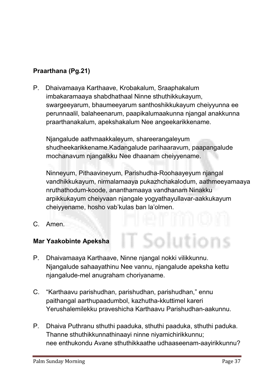# Praarthana (Pg.21)

**P. Dhaivamaaya Karthaave, Krobakalum, Sraaphakalum imbakaramaaya shabdhathaal Ninne sthuthikkukayum, swargeeyarum, bhaumeeyarum santhoshikkukayum cheiyyunna ee perunnaalil, balaheenarum, paapikalumaakunna njangal anakkunna praarthanakalum, apekshakalum Nee angeekarikkename.** 

**Njangalude aathmaakkaleyum, shareerangaleyum shudheekarikkename.Kadangalude parihaaravum, paapangalude mochanavum njangalkku Nee dhaanam cheiyyename.** 

**Ninneyum, Pithaavineyum, Parishudha-Roohaayeyum njangal vandhikkukayum, nirmalamaaya pukazhchakalodum, aathmeeyamaaya nruthathodum-koode, ananthamaaya vandhanam Ninakku arpikkukayum cheiyvaan njangale yogyathayullavar-aakkukayum cheiyyename, hosho vab'kulas ban la'olmen.**

**C. Amen.**

# Mar Yaakobinte Apeksha

- **P. Dhaivamaaya Karthaave, Ninne njangal nokki vilikkunnu. Njangalude sahaayathinu Nee vannu, njangalude apeksha kettu njangalude-mel anugraham choriyaname.**
- **C. "Karthaavu parishudhan, parishudhan, parishudhan," ennu paithangal aarthupaadumbol, kazhutha-kkuttimel kareri Yerushalemilekku praveshicha Karthaavu Parishudhan-aakunnu.**
- **P. Dhaiva Puthranu sthuthi paaduka, sthuthi paaduka, sthuthi paduka. Thanne sthuthikkunnathinaayi ninne niyamichirikkunnu; nee enthukondu Avane sthuthikkaathe udhaaseenam-aayirikkunnu?**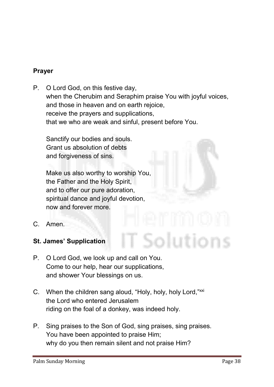#### Prayer

**P. O Lord God, on this festive day, when the Cherubim and Seraphim praise You with joyful voices, and those in heaven and on earth rejoice, receive the prayers and supplications, that we who are weak and sinful, present before You.** 

**Sanctify our bodies and souls. Grant us absolution of debts and forgiveness of sins.**

**Make us also worthy to worship You, the Father and the Holy Spirit, and to offer our pure adoration, spiritual dance and joyful devotion, now and forever more.**

- **C. Amen.**
- St. James' Supplication
- **P. O Lord God, we look up and call on You. Come to our help, hear our supplications, and shower Your blessings on us.**
- **C. When the children sang aloud, "Holy, holy, holy Lord,"xxi the Lord who entered Jerusalem riding on the foal of a donkey, was indeed holy.**
- **P. Sing praises to the Son of God, sing praises, sing praises. You have been appointed to praise Him; why do you then remain silent and not praise Him?**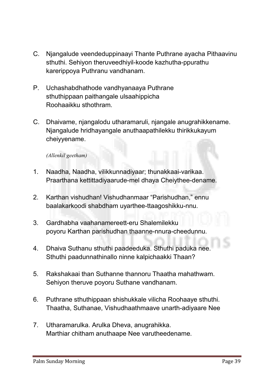- **C. Njangalude veendeduppinaayi Thante Puthrane ayacha Pithaavinu sthuthi. Sehiyon theruveedhiyil-koode kazhutha-ppurathu karerippoya Puthranu vandhanam.**
- **P. Uchashabdhathode vandhyanaaya Puthrane sthuthippaan paithangale ulsaahippicha Roohaaikku sthothram.**
- **C. Dhaivame, njangalodu utharamaruli, njangale anugrahikkename. Njangalude hridhayangale anuthaapathilekku thirikkukayum cheiyyename.**

#### *(Allenkil geetham)*

- **1. Naadha, Naadha, vilikkunnadiyaar; thunakkaai-varikaa. Praarthana kettittadiyaarude-mel dhaya Cheiythee-dename.**
- **2. Karthan vishudhan! Vishudhanmaar "Parishudhan," ennu baalakarkoodi shabdham uyarthee-ttaagoshikku-nnu.**
- **3. Gardhabha vaahanamereett-eru Shalemilekku poyoru Karthan parishudhan thaanne-nnura-cheedunnu.**
- **4. Dhaiva Suthanu sthuthi paadeeduka. Sthuthi paduka nee. Sthuthi paadunnathinallo ninne kalpichaakki Thaan?**
- **5. Rakshakaai than Suthanne thannoru Thaatha mahathwam. Sehiyon theruve poyoru Suthane vandhanam.**
- **6. Puthrane sthuthippaan shishukkale vilicha Roohaaye sthuthi. Thaatha, Suthanae, Vishudhaathmaave unarth-adiyaare Nee**
- **7. Utharamarulka. Arulka Dheva, anugrahikka. Marthiar chitham anuthaape Nee varutheedename.**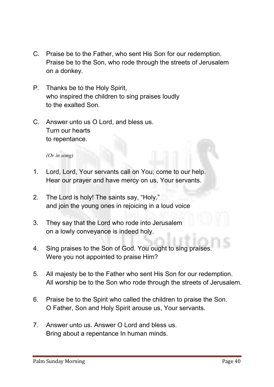- **C. Praise be to the Father, who sent His Son for our redemption. Praise be to the Son, who rode through the streets of Jerusalem on a donkey.**
- **P. Thanks be to the Holy Spirit, who inspired the children to sing praises loudly to the exalted Son.**
- **C. Answer unto us O Lord, and bless us. Turn our hearts to repentance.**

*(Or in song)* 

- **1. Lord, Lord, Your servants call on You; come to our help. Hear our prayer and have mercy on us, Your servants.**
- **2. The Lord is holy! The saints say, "Holy," and join the young ones in rejoicing in a loud voice**
- **3. They say that the Lord who rode into Jerusalem on a lowly conveyance is indeed holy.**
- **4. Sing praises to the Son of God. You ought to sing praises. Were you not appointed to praise Him?**
- **5. All majesty be to the Father who sent His Son for our redemption. All worship be to the Son who rode through the streets of Jerusalem.**
- **6. Praise be to the Spirit who called the children to praise the Son. O Father, Son and Holy Spirit arouse us, Your servants.**
- **7. Answer unto us. Answer O Lord and bless us. Bring about a repentance In human minds.**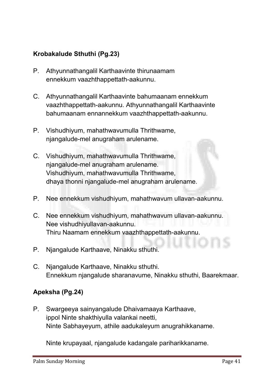# Krobakalude Sthuthi (Pg.23)

- **P. Athyunnathangalil Karthaavinte thirunaamam ennekkum vaazhthappettath-aakunnu.**
- **C. Athyunnathangalil Karthaavinte bahumaanam ennekkum vaazhthappettath-aakunnu. Athyunnathangalil Karthaavinte bahumaanam ennannekkum vaazhthappettath-aakunnu.**
- **P. Vishudhiyum, mahathwavumulla Thrithwame, njangalude-mel anugraham arulename.**
- **C. Vishudhiyum, mahathwavumulla Thrithwame, njangalude-mel anugraham arulename. Vishudhiyum, mahathwavumulla Thrithwame, dhaya thonni njangalude-mel anugraham arulename.**
- **P. Nee ennekkum vishudhiyum, mahathwavum ullavan-aakunnu.**
- **C. Nee ennekkum vishudhiyum, mahathwavum ullavan-aakunnu. Nee vishudhiyullavan-aakunnu. Thiru Naamam ennekkum vaazhthappettath-aakunnu.**
- **P. Njangalude Karthaave, Ninakku sthuthi.**
- **C. Njangalude Karthaave, Ninakku sthuthi. Ennekkum njangalude sharanavume, Ninakku sthuthi, Baarekmaar.**

# Apeksha (Pg.24)

**P. Swargeeya sainyangalude Dhaivamaaya Karthaave, ippol Ninte shakthiyulla valankai neetti, Ninte Sabhayeyum, athile aadukaleyum anugrahikkaname.** 

**Ninte krupayaal, njangalude kadangale pariharikkaname.**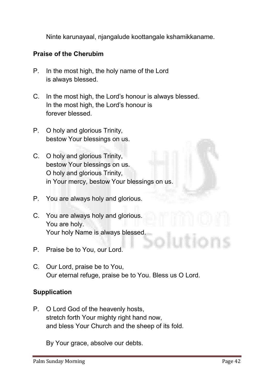**Ninte karunayaal, njangalude koottangale kshamikkaname.** 

#### Praise of the Cherubim

- **P. In the most high, the holy name of the Lord is always blessed.**
- **C. In the most high, the Lord's honour is always blessed. In the most high, the Lord's honour is forever blessed.**
- **P. O holy and glorious Trinity, bestow Your blessings on us.**
- **C. O holy and glorious Trinity, bestow Your blessings on us. O holy and glorious Trinity, in Your mercy, bestow Your blessings on us.**
- **P. You are always holy and glorious.**
- **C. You are always holy and glorious. You are holy. Your holy Name is always blessed.**
- **P. Praise be to You, our Lord.**
- **C. Our Lord, praise be to You, Our eternal refuge, praise be to You. Bless us O Lord.**

#### Supplication

**P. O Lord God of the heavenly hosts, stretch forth Your mighty right hand now, and bless Your Church and the sheep of its fold.**

**By Your grace, absolve our debts.**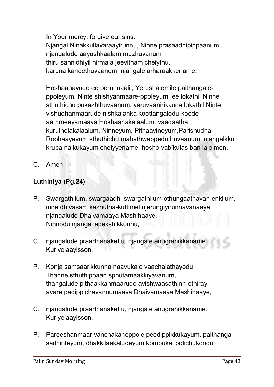**In Your mercy, forgive our sins. Njangal Ninakkullavaraayirunnu, Ninne prasaadhipippaanum, njangalude aayushkaalam muzhuvanum thiru sannidhiyil nirmala jeevitham cheiythu, karuna kandethuvaanum, njangale arharaakkename.** 

**Hoshaanayude ee perunnaalil, Yerushalemile paithangaleppoleyum, Ninte shishyanmaare-ppoleyum, ee lokathil Ninne sthuthichu pukazhthuvaanum, varuvaanirikkuna lokathil Ninte vishudhanmaarude nishkalanka koottangalodu-koode aathmeeyamaaya Hoshaanakalaalum, vaadaatha kurutholakalaalum, Ninneyum, Pithaavineyum,Parishudha Roohaayeyum sthuthichu mahathwappeduthuvaanum, njangalkku krupa nalkukayum cheiyyename, hosho vab'kulas ban la'olmen.**

**C. Amen.**

# Luthiniya (Pg.24)

- **P. Swargathilum, swargaadhi-swargathilum othungaathavan enkilum, inne dhivasam kazhutha-kuttimel njerungiyirunnavanaaya njangalude Dhaivamaaya Mashihaaye, Ninnodu njangal apekshikkunnu,**
- **C. njangalude praarthanakettu, njangale anugrahikkaname. Kuriyelaayisson.**
- **P. Konja samsaarikkunna naavukale vaachalathayodu Thanne sthuthippaan sphutamaakkiyavanum, thangalude pithaakkanmaarude avishwaasathinn-ethirayi avare padippichavannumaaya Dhaivamaaya Mashihaaye,**
- **C. njangalude praarthanakettu, njangale anugrahikkaname. Kuriyelaayisson.**
- **P. Pareeshanmaar vanchakaneppole peedippikkukayum, paithangal saithinteyum, dhakkilaakaludeyum kombukal pidichukondu**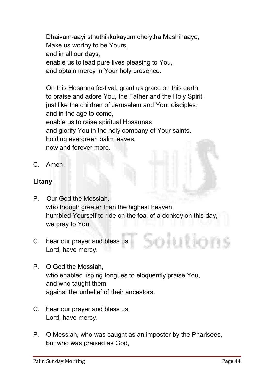**Dhaivam-aayi sthuthikkukayum cheiytha Mashihaaye, Make us worthy to be Yours, and in all our days, enable us to lead pure lives pleasing to You, and obtain mercy in Your holy presence.** 

**On this Hosanna festival, grant us grace on this earth, to praise and adore You, the Father and the Holy Spirit, just like the children of Jerusalem and Your disciples; and in the age to come, enable us to raise spiritual Hosannas and glorify You in the holy company of Your saints, holding evergreen palm leaves, now and forever more.** 

**C. Amen.**

#### Litany

- **P. Our God the Messiah, who though greater than the highest heaven, humbled Yourself to ride on the foal of a donkey on this day, we pray to You,**
- **C. hear our prayer and bless us. Lord, have mercy.**
- **P. O God the Messiah, who enabled lisping tongues to eloquently praise You, and who taught them against the unbelief of their ancestors,**
- **C. hear our prayer and bless us. Lord, have mercy.**
- **P. O Messiah, who was caught as an imposter by the Pharisees, but who was praised as God,**

olutions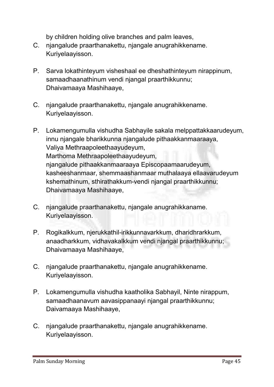**by children holding olive branches and palm leaves,**

- **C. njangalude praarthanakettu, njangale anugrahikkename. Kuriyelaayisson.**
- **P. Sarva lokathinteyum visheshaal ee dheshathinteyum nirappinum, samaadhaanathinum vendi njangal praarthikkunnu; Dhaivamaaya Mashihaaye,**
- **C. njangalude praarthanakettu, njangale anugrahikkename. Kuriyelaayisson.**
- **P. Lokamengumulla vishudha Sabhayile sakala melppattakkaarudeyum, innu njangale bharikkunna njangalude pithaakkanmaaraaya, Valiya Methraapoleethaayudeyum, Marthoma Methraapoleethaayudeyum, njangalude pithaakkanmaaraaya Episcopaamaarudeyum, kasheeshanmaar, shemmaashanmaar muthalaaya ellaavarudeyum kshemathinum, sthirathakkum-vendi njangal praarthikkunnu; Dhaivamaaya Mashihaaye,**
- **C. njangalude praarthanakettu, njangale anugrahikkaname. Kuriyelaayisson.**
- **P. Rogikalkkum, njerukkathil-irikkunnavarkkum, dharidhrarkkum, anaadharkkum, vidhavakalkkum vendi njangal praarthikkunnu; Dhaivamaaya Mashihaaye,**
- **C. njangalude praarthanakettu, njangale anugrahikkename. Kuriyelaayisson.**
- **P. Lokamengumulla vishudha kaatholika Sabhayil, Ninte nirappum, samaadhaanavum aavasippanaayi njangal praarthikkunnu; Daivamaaya Mashihaaye,**
- **C. njangalude praarthanakettu, njangale anugrahikkename. Kuriyelaayisson.**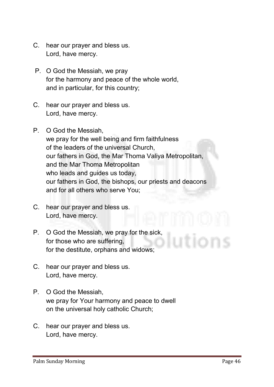- **C. hear our prayer and bless us. Lord, have mercy.**
- **P. O God the Messiah, we pray for the harmony and peace of the whole world, and in particular, for this country;**
- **C. hear our prayer and bless us. Lord, have mercy.**
- **P. O God the Messiah, we pray for the well being and firm faithfulness of the leaders of the universal Church, our fathers in God, the Mar Thoma Valiya Metropolitan, and the Mar Thoma Metropolitan who leads and guides us today, our fathers in God, the bishops, our priests and deacons and for all others who serve You;**
- **C. hear our prayer and bless us. Lord, have mercy.**
- **P. O God the Messiah, we pray for the sick, for those who are suffering, for the destitute, orphans and widows;**
- **C. hear our prayer and bless us. Lord, have mercy.**
- **P. O God the Messiah, we pray for Your harmony and peace to dwell on the universal holy catholic Church;**
- **C. hear our prayer and bless us. Lord, have mercy.**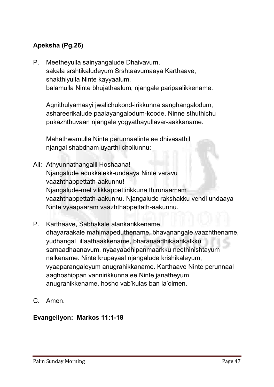# Apeksha (Pg.26)

**P. Meetheyulla sainyangalude Dhaivavum, sakala srshtikaludeyum Srshtaavumaaya Karthaave, shakthiyulla Ninte kayyaalum, balamulla Ninte bhujathaalum, njangale paripaalikkename.** 

**Agnithulyamaayi jwalichukond-irikkunna sanghangalodum, ashareerikalude paalayangalodum-koode, Ninne sthuthichu pukazhthuvaan njangale yogyathayullavar-aakkaname.** 

**Mahathwamulla Ninte perunnaalinte ee dhivasathil njangal shabdham uyarthi chollunnu:**

- **All: Athyunnathangalil Hoshaana! Njangalude adukkalekk-undaaya Ninte varavu vaazhthappettath-aakunnu! Njangalude-mel vilikkappettirikkuna thirunaamam vaazhthappettath-aakunnu. Njangalude rakshakku vendi undaaya Ninte vyaapaaram vaazhthappettath-aakunnu.**
- **P. Karthaave, Sabhakale alankarikkename, dhayaraakale mahimapeduthename, bhavanangale vaazhthename, yudhangal illaathaakkename, bharanaadhikaarikalkku samaadhaanavum, nyaayaadhipanmaarkku neethinishtayum nalkename. Ninte krupayaal njangalude krishikaleyum, vyaaparangaleyum anugrahikkaname. Karthaave Ninte perunnaal aaghoshippan vannirikkunna ee Ninte janatheyum anugrahikkename, hosho vab'kulas ban la'olmen.**
- **C. Amen.**

# Evangeliyon: Markos 11:1-18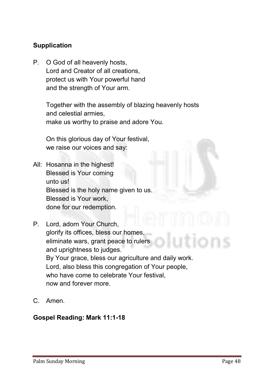# **Supplication**

**P. O God of all heavenly hosts, Lord and Creator of all creations, protect us with Your powerful hand and the strength of Your arm.**

> **Together with the assembly of blazing heavenly hosts and celestial armies, make us worthy to praise and adore You.**

**On this glorious day of Your festival, we raise our voices and say:**

- **All: Hosanna in the highest! Blessed is Your coming unto us! Blessed is the holy name given to us. Blessed is Your work, done for our redemption.**
- **P. Lord, adorn Your Church, glorify its offices, bless our homes, eliminate wars, grant peace to rulers and uprightness to judges. By Your grace, bless our agriculture and daily work. Lord, also bless this congregation of Your people, who have come to celebrate Your festival, now and forever more.**
- **C. Amen.**

#### Gospel Reading: Mark 11:1-18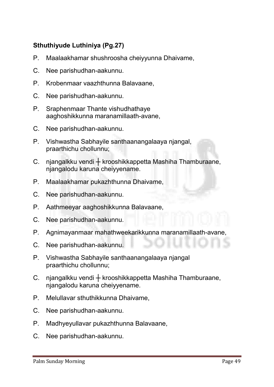# Sthuthiyude Luthiniya (Pg.27)

- **P. Maalaakhamar shushroosha cheiyyunna Dhaivame,**
- **C. Nee parishudhan-aakunnu.**
- **P. Krobenmaar vaazhthunna Balavaane,**
- **C. Nee parishudhan-aakunnu.**
- **P. Sraphenmaar Thante vishudhathaye aaghoshikkunna maranamillaath-avane,**
- **C. Nee parishudhan-aakunnu.**
- **P. Vishwastha Sabhayile santhaanangalaaya njangal, praarthichu chollunnu;**
- **C. njangalkku vendi ┼ krooshikkappetta Mashiha Thamburaane, njangalodu karuna cheiyyename.**
- **P. Maalaakhamar pukazhthunna Dhaivame,**
- **C. Nee parishudhan-aakunnu.**
- **P. Aathmeeyar aaghoshikkunna Balavaane,**
- **C. Nee parishudhan-aakunnu.**
- **P. Agnimayanmaar mahathweekarikkunna maranamillaath-avane,**
- **C. Nee parishudhan-aakunnu.**
- **P. Vishwastha Sabhayile santhaanangalaaya njangal praarthichu chollunnu;**
- **C. njangalkku vendi ┼ krooshikkappetta Mashiha Thamburaane, njangalodu karuna cheiyyename.**
- **P. Melullavar sthuthikkunna Dhaivame,**
- **C. Nee parishudhan-aakunnu.**
- **P. Madhyeyullavar pukazhthunna Balavaane,**
- **C. Nee parishudhan-aakunnu.**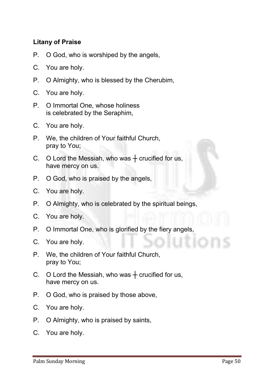### Litany of Praise

- **P. O God, who is worshiped by the angels,**
- **C. You are holy.**
- **P. O Almighty, who is blessed by the Cherubim,**
- **C. You are holy.**
- **P. O Immortal One, whose holiness is celebrated by the Seraphim,**
- **C. You are holy.**
- **P. We, the children of Your faithful Church, pray to You;**
- **C. O Lord the Messiah, who was ┼ crucified for us, have mercy on us.**
- **P. O God, who is praised by the angels,**
- **C. You are holy.**
- **P. O Almighty, who is celebrated by the spiritual beings,**
- **C. You are holy.**
- **P. O Immortal One, who is glorified by the fiery angels,**
- **C. You are holy.**
- **P. We, the children of Your faithful Church, pray to You;**
- **C. O Lord the Messiah, who was ┼ crucified for us, have mercy on us.**
- **P. O God, who is praised by those above,**
- **C. You are holy.**
- **P. O Almighty, who is praised by saints,**
- **C. You are holy.**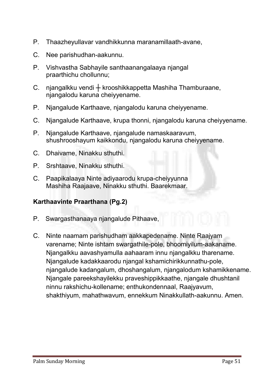- **P. Thaazheyullavar vandhikkunna maranamillaath-avane,**
- **C. Nee parishudhan-aakunnu.**
- **P. Vishvastha Sabhayile santhaanangalaaya njangal praarthichu chollunnu;**
- **C. njangalkku vendi ┼ krooshikkappetta Mashiha Thamburaane, njangalodu karuna cheiyyename.**
- **P. Njangalude Karthaave, njangalodu karuna cheiyyename.**
- **C. Njangalude Karthaave, krupa thonni, njangalodu karuna cheiyyename.**
- **P. Njangalude Karthaave, njangalude namaskaaravum, shushrooshayum kaikkondu, njangalodu karuna cheiyyename.**
- **C. Dhaivame, Ninakku sthuthi.**
- **P. Srshtaave, Ninakku sthuthi.**
- **C. Paapikalaaya Ninte adiyaarodu krupa-cheiyyunna Mashiha Raajaave, Ninakku sthuthi. Baarekmaar.**

# Karthaavinte Praarthana (Pg.2)

- **P. Swargasthanaaya njangalude Pithaave,**
- **C. Ninte naamam parishudham aakkapedename. Ninte Raajyam varename; Ninte ishtam swargathile-pole, bhoomiyilum-aakaname. Njangalkku aavashyamulla aahaaram innu njangalkku tharename. Njangalude kadakkaarodu njangal kshamichirikkunnathu-pole, njangalude kadangalum, dhoshangalum, njangalodum kshamikkename. Njangale pareekshayilekku praveshippikkaathe, njangale dhushtanil ninnu rakshichu-kollename; enthukondennaal, Raajyavum, shakthiyum, mahathwavum, ennekkum Ninakkullath-aakunnu. Amen.**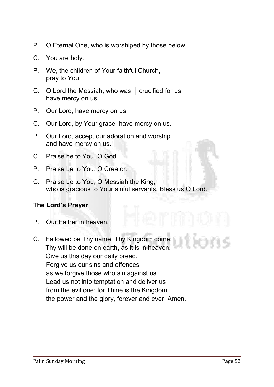- **P. O Eternal One, who is worshiped by those below,**
- **C. You are holy.**
- **P. We, the children of Your faithful Church, pray to You;**
- **C. O Lord the Messiah, who was ┼ crucified for us, have mercy on us.**
- **P. Our Lord, have mercy on us.**
- **C. Our Lord, by Your grace, have mercy on us.**
- **P. Our Lord, accept our adoration and worship and have mercy on us.**
- **C. Praise be to You, O God.**
- **P. Praise be to You, O Creator.**
- **C. Praise be to You, O Messiah the King, who is gracious to Your sinful servants. Bless us O Lord.**

#### The Lord's Prayer

- **P. Our Father in heaven,**
- **C. hallowed be Thy name. Thy Kingdom come; Thy will be done on earth, as it is in heaven. Give us this day our daily bread. Forgive us our sins and offences, as we forgive those who sin against us. Lead us not into temptation and deliver us from the evil one; for Thine is the Kingdom, the power and the glory, forever and ever. Amen.**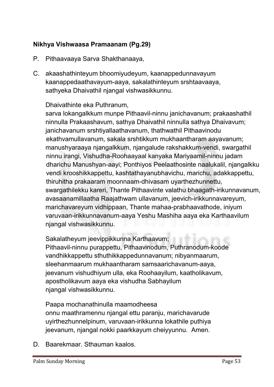# Nikhya Vishwaasa Pramaanam (Pg.29)

- **P. Pithaavaaya Sarva Shakthanaaya,**
- **C. akaashathinteyum bhoomiyudeyum, kaanappedunnavayum kaanappedaathavayum-aaya, sakalathinteyum srshtaavaaya, sathyeka Dhaivathil njangal vishwasikkunnu.**

#### **Dhaivathinte eka Puthranum,**

**sarva lokangalkkum munpe Pithaavil-ninnu janichavanum; prakaashathil ninnulla Prakaashavum, sathya Dhaivathil ninnulla sathya Dhaivavum; janichavanum srshtiyallaathavanum, thathwathil Pithaavinodu ekathvamullavanum, sakala srshtikkum mukhaantharam aayavanum; manushyaraaya njangalkkum, njangalude rakshakkum-vendi, swargathil ninnu irangi, Vishudha-Roohaayaal kanyaka Mariyaamil-ninnu jadam dharichu Manushyan-aayi; Ponthiyos Peelaathosinte naalukalil, njangalkku vendi krooshikkappettu, kashtathayanubhavichu, marichu, adakkappettu, thiruhitha prakaaram moonnaam-dhivasam uyarthezhunnettu, swargathilekku kareri, Thante Pithaavinte valathu bhaagath-irikunnavanum, avasaanamillaatha Raajathwam ullavanum, jeevich-irikkunnavareyum, marichavareyum vidhippaan, Thante mahaa-prabhaavathode, iniyum varuvaan-irikkunnavanum-aaya Yeshu Mashiha aaya eka Karthaavilum njangal vishwasikkunnu.**

**Sakalatheyum jeevippikkunna Karthaavum;**

**Pithaavil-ninnu purappettu, Pithaavinodum, Puthranodum-koode vandhikkappettu sthuthikkappedunnavanum; nibyanmaarum, sleehanmaarum mukhaantharam samsaarichavanum-aaya, jeevanum vishudhiyum ulla, eka Roohaayilum, kaatholikavum, apostholikavum aaya eka vishudha Sabhayilum njangal vishwasikkunnu.**

**Paapa mochanathinulla maamodheesa onnu maathramennu njangal ettu paranju, marichavarude uyirthezhunnelpinum, varuvaan-irikkunna lokathile puthiya jeevanum, njangal nokki paarkkayum cheiyyunnu. Amen.**

**D. Baarekmaar. Sthauman kaalos.**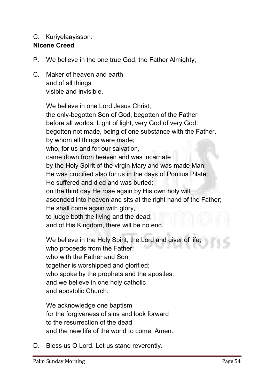#### **C. Kuriyelaayisson.**

#### Nicene Creed

- **P. We believe in the one true God, the Father Almighty;**
- **C. Maker of heaven and earth and of all things visible and invisible.**

**We believe in one Lord Jesus Christ, the only-begotten Son of God, begotten of the Father before all worlds; Light of light, very God of very God; begotten not made, being of one substance with the Father, by whom all things were made; who, for us and for our salvation, came down from heaven and was incarnate by the Holy Spirit of the virgin Mary and was made Man; He was crucified also for us in the days of Pontius Pilate; He suffered and died and was buried; on the third day He rose again by His own holy will, ascended into heaven and sits at the right hand of the Father; He shall come again with glory, to judge both the living and the dead; and of His Kingdom, there will be no end.** 

**We believe in the Holy Spirit, the Lord and giver of life; who proceeds from the Father; who with the Father and Son together is worshipped and glorified; who spoke by the prophets and the apostles; and we believe in one holy catholic and apostolic Church.**

**We acknowledge one baptism for the forgiveness of sins and look forward to the resurrection of the dead and the new life of the world to come. Amen.** 

**D. Bless us O Lord. Let us stand reverently.**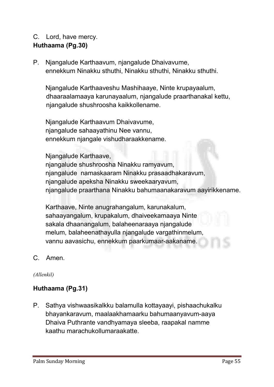# **C. Lord, have mercy.** Huthaama (Pg.30)

**P. Njangalude Karthaavum, njangalude Dhaivavume, ennekkum Ninakku sthuthi, Ninakku sthuthi, Ninakku sthuthi.**

**Njangalude Karthaaveshu Mashihaaye, Ninte krupayaalum, dhaaraalamaaya karunayaalum, njangalude praarthanakal kettu, njangalude shushroosha kaikkollename.**

**Njangalude Karthaavum Dhaivavume, njangalude sahaayathinu Nee vannu, ennekkum njangale vishudharaakkename.** 

#### **Njangalude Karthaave,**

**njangalude shushroosha Ninakku ramyavum, njangalude namaskaaram Ninakku prasaadhakaravum, njangalude apeksha Ninakku sweekaaryavum, njangalude praarthana Ninakku bahumaanakaravum aayirikkename.** 

**Karthaave, Ninte anugrahangalum, karunakalum, sahaayangalum, krupakalum, dhaiveekamaaya Ninte sakala dhaanangalum, balaheenaraaya njangalude melum, balaheenathayulla njangalude vargathinmelum, vannu aavasichu, ennekkum paarkumaar-aakaname.**

**C. Amen.**

#### *(Allenkil)*

# Huthaama (Pg.31)

**P. Sathya vishwaasikalkku balamulla kottayaayi, pishaachukalku bhayankaravum, maalaakhamaarku bahumaanyavum-aaya Dhaiva Puthrante vandhyamaya sleeba, raapakal namme kaathu marachukollumaraakatte.**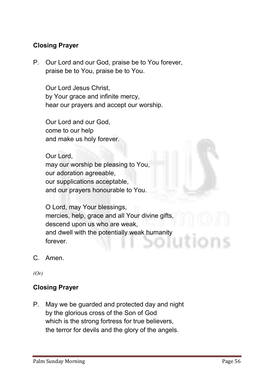# Closing Prayer

**P. Our Lord and our God, praise be to You forever, praise be to You, praise be to You.**

**Our Lord Jesus Christ, by Your grace and infinite mercy, hear our prayers and accept our worship.** 

**Our Lord and our God, come to our help and make us holy forever.** 

**Our Lord, may our worship be pleasing to You, our adoration agreeable, our supplications acceptable, and our prayers honourable to You.** 

**O Lord, may Your blessings, mercies, help, grace and all Your divine gifts, descend upon us who are weak, and dwell with the potentially weak humanity forever.**

**C. Amen.**

*(Or)*

# Closing Prayer

**P. May we be guarded and protected day and night by the glorious cross of the Son of God which is the strong fortress for true believers, the terror for devils and the glory of the angels.**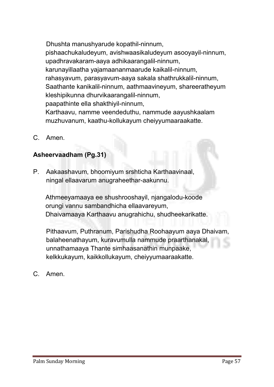**Dhushta manushyarude kopathil-ninnum, pishaachukaludeyum, avishwaasikaludeyum asooyayil-ninnum, upadhravakaram-aaya adhikaarangalil-ninnum, karunayillaatha yajamaananmaarude kaikalil-ninnum, rahasyavum, parasyavum-aaya sakala shathrukkalil-ninnum, Saathante kanikalil-ninnum, aathmaavineyum, shareeratheyum kleshipikunna dhurvikaarangalil-ninnum, paapathinte ella shakthiyil-ninnum, Karthaavu, namme veendeduthu, nammude aayushkaalam muzhuvanum, kaathu-kollukayum cheiyyumaaraakatte.**

**C. Amen.**

# Asheervaadham (Pg.31)

**P. Aakaashavum, bhoomiyum srshticha Karthaavinaal, ningal ellaavarum anugraheethar-aakunnu.**

**Athmeeyamaaya ee shushrooshayil, njangalodu-koode orungi vannu sambandhicha ellaavareyum, Dhaivamaaya Karthaavu anugrahichu, shudheekarikatte.**

**Pithaavum, Puthranum, Parishudha Roohaayum aaya Dhaivam, balaheenathayum, kuravumulla nammude praarthanakal, unnathamaaya Thante simhaasanathin munpaake, kelkkukayum, kaikkollukayum, cheiyyumaaraakatte.**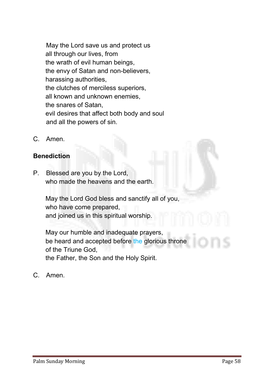**May the Lord save us and protect us all through our lives, from the wrath of evil human beings, the envy of Satan and non-believers, harassing authorities, the clutches of merciless superiors, all known and unknown enemies, the snares of Satan, evil desires that affect both body and soul and all the powers of sin.**

**C. Amen.**

#### **Benediction**

**P. Blessed are you by the Lord, who made the heavens and the earth.** 

> **May the Lord God bless and sanctify all of you, who have come prepared, and joined us in this spiritual worship.**

**May our humble and inadequate prayers, be heard and accepted before the glorious throne of the Triune God, the Father, the Son and the Holy Spirit.**